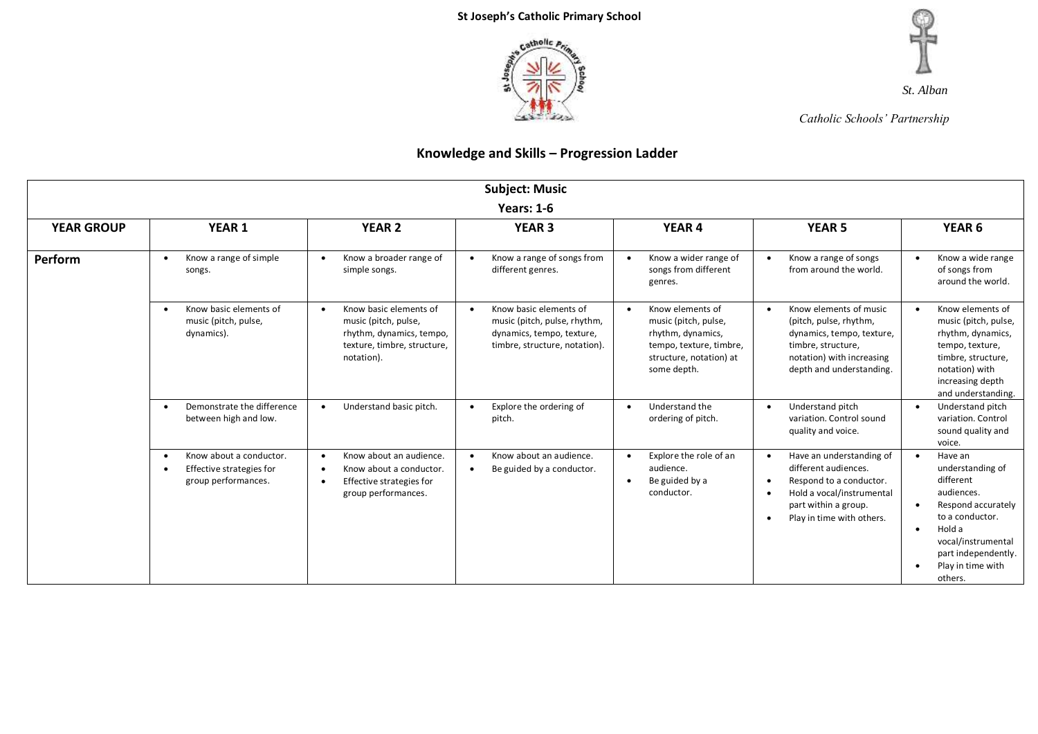



*Catholic Schools' Partnership*

| <b>Subject: Music</b>                                                                                                |                                                                                                      |                                                                                                                                              |                                                                                                                                   |                                                                                                                                                 |                                                                                                                                                                                                                   |                                                                                                                                                                                        |  |
|----------------------------------------------------------------------------------------------------------------------|------------------------------------------------------------------------------------------------------|----------------------------------------------------------------------------------------------------------------------------------------------|-----------------------------------------------------------------------------------------------------------------------------------|-------------------------------------------------------------------------------------------------------------------------------------------------|-------------------------------------------------------------------------------------------------------------------------------------------------------------------------------------------------------------------|----------------------------------------------------------------------------------------------------------------------------------------------------------------------------------------|--|
| <b>Years: 1-6</b>                                                                                                    |                                                                                                      |                                                                                                                                              |                                                                                                                                   |                                                                                                                                                 |                                                                                                                                                                                                                   |                                                                                                                                                                                        |  |
| YEAR 1<br>YEAR <sub>6</sub><br><b>YEAR GROUP</b><br><b>YEAR 2</b><br><b>YEAR 3</b><br><b>YEAR 4</b><br><b>YEAR 5</b> |                                                                                                      |                                                                                                                                              |                                                                                                                                   |                                                                                                                                                 |                                                                                                                                                                                                                   |                                                                                                                                                                                        |  |
| Perform                                                                                                              | Know a range of simple<br>$\bullet$<br>songs.                                                        | Know a broader range of<br>$\bullet$<br>simple songs.                                                                                        | Know a range of songs from<br>different genres.                                                                                   | Know a wider range of<br>$\bullet$<br>songs from different<br>genres.                                                                           | Know a range of songs<br>from around the world.                                                                                                                                                                   | Know a wide range<br>of songs from<br>around the world.                                                                                                                                |  |
|                                                                                                                      | Know basic elements of<br>$\bullet$<br>music (pitch, pulse,<br>dynamics).                            | Know basic elements of<br>$\bullet$<br>music (pitch, pulse,<br>rhythm, dynamics, tempo,<br>texture, timbre, structure,<br>notation).         | Know basic elements of<br>$\bullet$<br>music (pitch, pulse, rhythm,<br>dynamics, tempo, texture,<br>timbre, structure, notation). | Know elements of<br>$\bullet$<br>music (pitch, pulse,<br>rhythm, dynamics,<br>tempo, texture, timbre,<br>structure, notation) at<br>some depth. | Know elements of music<br>(pitch, pulse, rhythm,<br>dynamics, tempo, texture,<br>timbre, structure,<br>notation) with increasing<br>depth and understanding.                                                      | Know elements of<br>music (pitch, pulse,<br>rhythm, dynamics,<br>tempo, texture,<br>timbre, structure,<br>notation) with<br>increasing depth<br>and understanding.                     |  |
|                                                                                                                      | Demonstrate the difference<br>$\bullet$<br>between high and low.                                     | Understand basic pitch.<br>$\bullet$                                                                                                         | Explore the ordering of<br>pitch.                                                                                                 | Understand the<br>$\bullet$<br>ordering of pitch.                                                                                               | Understand pitch<br>variation. Control sound<br>quality and voice.                                                                                                                                                | Understand pitch<br>variation. Control<br>sound quality and<br>voice.                                                                                                                  |  |
|                                                                                                                      | Know about a conductor.<br>$\bullet$<br>Effective strategies for<br>$\bullet$<br>group performances. | Know about an audience.<br>$\bullet$<br>Know about a conductor.<br>$\bullet$<br>Effective strategies for<br>$\bullet$<br>group performances. | Know about an audience.<br>Be guided by a conductor.                                                                              | Explore the role of an<br>$\bullet$<br>audience.<br>Be guided by a<br>$\bullet$<br>conductor.                                                   | Have an understanding of<br>$\bullet$<br>different audiences.<br>Respond to a conductor.<br>$\bullet$<br>Hold a vocal/instrumental<br>$\bullet$<br>part within a group.<br>Play in time with others.<br>$\bullet$ | Have an<br>understanding of<br>different<br>audiences.<br>Respond accurately<br>to a conductor.<br>Hold a<br>vocal/instrumental<br>part independently.<br>Play in time with<br>others. |  |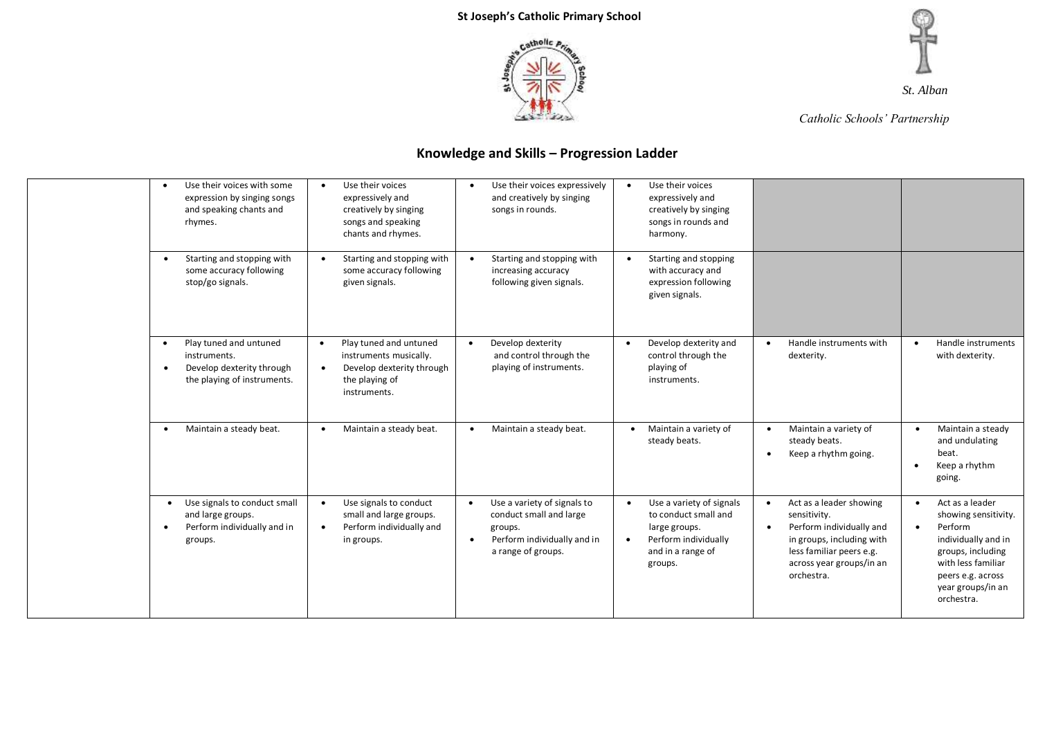



*Catholic Schools' Partnership*

| Use their voices with some<br>expression by singing songs<br>and speaking chants and<br>rhymes.                       | Use their voices<br>expressively and<br>creatively by singing<br>songs and speaking<br>chants and rhymes.                                 | Use their voices expressively<br>$\bullet$<br>and creatively by singing<br>songs in rounds.                                                      | Use their voices<br>expressively and<br>creatively by singing<br>songs in rounds and<br>harmony.                                       |                                                                                                                                                                                                  |                                                                                                                                                                              |
|-----------------------------------------------------------------------------------------------------------------------|-------------------------------------------------------------------------------------------------------------------------------------------|--------------------------------------------------------------------------------------------------------------------------------------------------|----------------------------------------------------------------------------------------------------------------------------------------|--------------------------------------------------------------------------------------------------------------------------------------------------------------------------------------------------|------------------------------------------------------------------------------------------------------------------------------------------------------------------------------|
| Starting and stopping with<br>$\bullet$<br>some accuracy following<br>stop/go signals.                                | Starting and stopping with<br>some accuracy following<br>given signals.                                                                   | Starting and stopping with<br>$\bullet$<br>increasing accuracy<br>following given signals.                                                       | Starting and stopping<br>with accuracy and<br>expression following<br>given signals.                                                   |                                                                                                                                                                                                  |                                                                                                                                                                              |
| Play tuned and untuned<br>instruments.<br>Develop dexterity through<br>$\bullet$<br>the playing of instruments.       | Play tuned and untuned<br>$\bullet$<br>instruments musically.<br>Develop dexterity through<br>$\bullet$<br>the playing of<br>instruments. | Develop dexterity<br>$\bullet$<br>and control through the<br>playing of instruments.                                                             | Develop dexterity and<br>$\bullet$<br>control through the<br>playing of<br>instruments.                                                | Handle instruments with<br>$\bullet$<br>dexterity.                                                                                                                                               | Handle instruments<br>$\bullet$<br>with dexterity.                                                                                                                           |
| Maintain a steady beat.<br>$\bullet$                                                                                  | Maintain a steady beat.                                                                                                                   | Maintain a steady beat.<br>$\bullet$                                                                                                             | Maintain a variety of<br>$\bullet$<br>steady beats.                                                                                    | Maintain a variety of<br>$\bullet$<br>steady beats.<br>Keep a rhythm going.<br>$\bullet$                                                                                                         | Maintain a steady<br>and undulating<br>beat.<br>Keep a rhythm<br>$\bullet$<br>going.                                                                                         |
| Use signals to conduct small<br>$\bullet$<br>and large groups.<br>Perform individually and in<br>$\bullet$<br>groups. | Use signals to conduct<br>$\bullet$<br>small and large groups.<br>Perform individually and<br>$\bullet$<br>in groups.                     | Use a variety of signals to<br>$\bullet$<br>conduct small and large<br>groups.<br>Perform individually and in<br>$\bullet$<br>a range of groups. | Use a variety of signals<br>to conduct small and<br>large groups.<br>Perform individually<br>$\bullet$<br>and in a range of<br>groups. | Act as a leader showing<br>$\bullet$<br>sensitivity.<br>Perform individually and<br>$\bullet$<br>in groups, including with<br>less familiar peers e.g.<br>across year groups/in an<br>orchestra. | Act as a leader<br>showing sensitivity.<br>Perform<br>individually and in<br>groups, including<br>with less familiar<br>peers e.g. across<br>year groups/in an<br>orchestra. |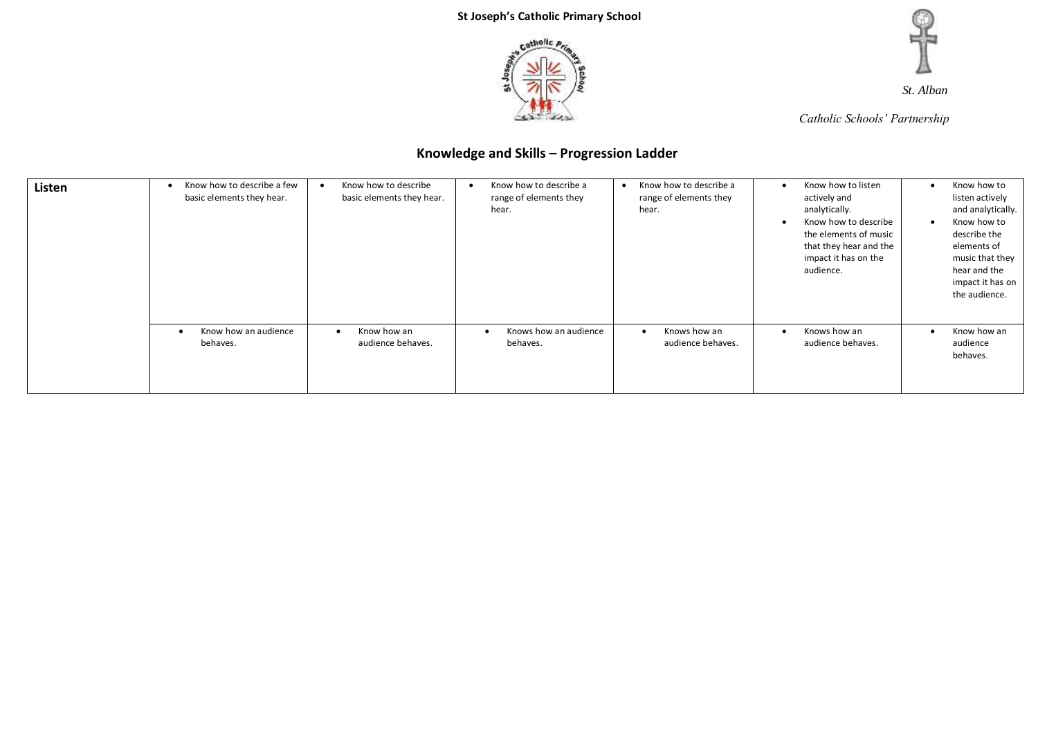



*Catholic Schools' Partnership*

| Listen | Know how to describe a few<br>basic elements they hear. | Know how to describe<br>basic elements they hear. | Know how to describe a<br>range of elements they<br>hear. | Know how to describe a<br>range of elements they<br>hear. | Know how to listen<br>٠<br>actively and<br>analytically.<br>Know how to describe<br>$\bullet$<br>the elements of music<br>that they hear and the<br>impact it has on the<br>audience. | Know how to<br>listen actively<br>and analytically.<br>Know how to<br>describe the<br>elements of<br>music that they<br>hear and the<br>impact it has on<br>the audience. |
|--------|---------------------------------------------------------|---------------------------------------------------|-----------------------------------------------------------|-----------------------------------------------------------|---------------------------------------------------------------------------------------------------------------------------------------------------------------------------------------|---------------------------------------------------------------------------------------------------------------------------------------------------------------------------|
|        | Know how an audience<br>behaves.                        | Know how an<br>audience behaves.                  | Knows how an audience<br>$\bullet$<br>behaves.            | Knows how an<br>audience behaves.                         | Knows how an<br>$\bullet$<br>audience behaves.                                                                                                                                        | Know how an<br>audience<br>behaves.                                                                                                                                       |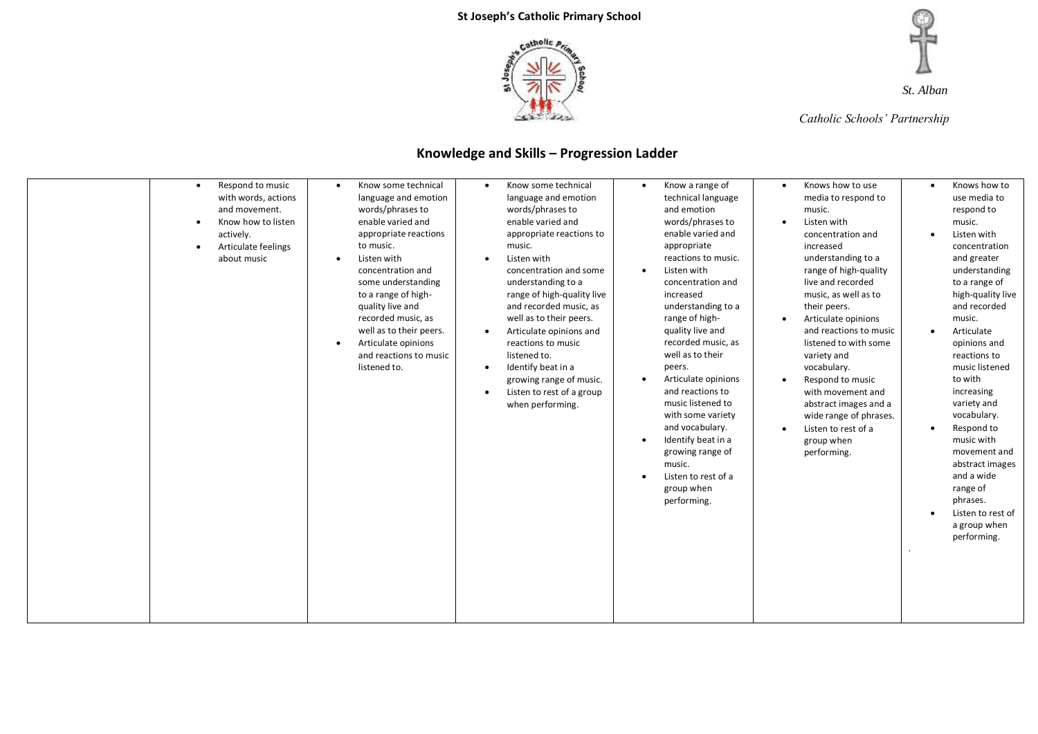



*Catholic Schools' Partnership*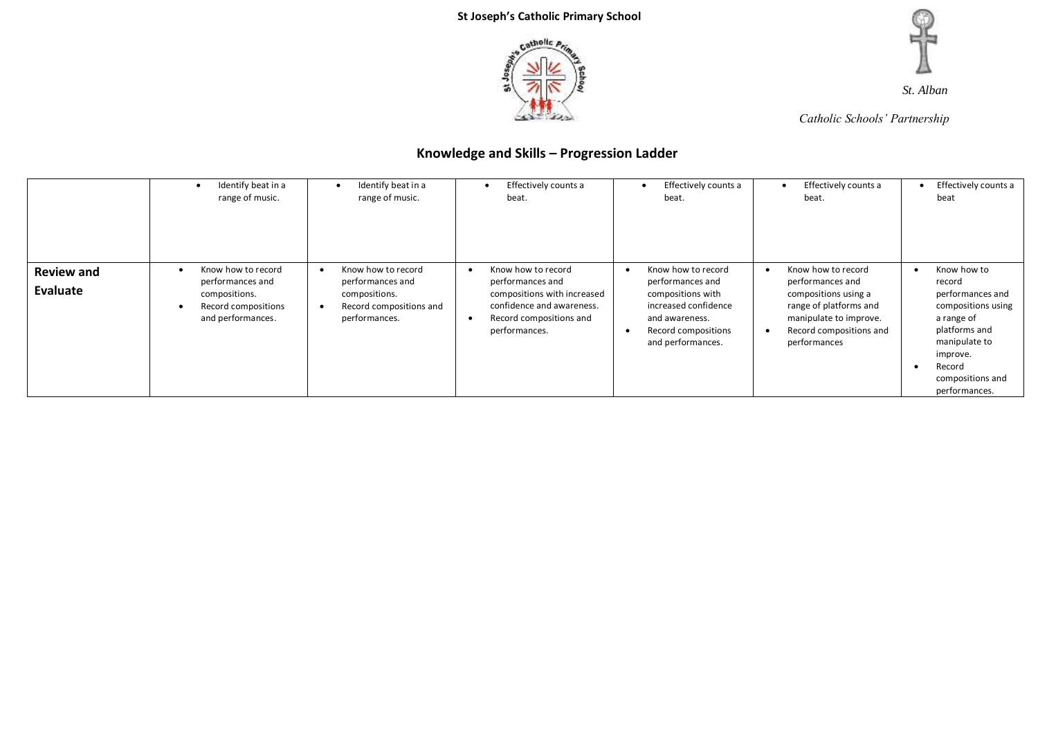



*Catholic Schools' Partnership*

|                               | Identify beat in a<br>range of music.                                                               | Identify beat in a<br>range of music.                                                               | Effectively counts a<br>beat.                                                                                                                               | Effectively counts a<br>beat.                                                                                                                     | Effectively counts a<br>$\cdot$<br>beat.                                                                                                                      | Effectively counts a<br>beat                                                                                                                                                            |
|-------------------------------|-----------------------------------------------------------------------------------------------------|-----------------------------------------------------------------------------------------------------|-------------------------------------------------------------------------------------------------------------------------------------------------------------|---------------------------------------------------------------------------------------------------------------------------------------------------|---------------------------------------------------------------------------------------------------------------------------------------------------------------|-----------------------------------------------------------------------------------------------------------------------------------------------------------------------------------------|
| <b>Review and</b><br>Evaluate | Know how to record<br>performances and<br>compositions.<br>Record compositions<br>and performances. | Know how to record<br>performances and<br>compositions.<br>Record compositions and<br>performances. | Know how to record<br>$\bullet$<br>performances and<br>compositions with increased<br>confidence and awareness.<br>Record compositions and<br>performances. | Know how to record<br>performances and<br>compositions with<br>increased confidence<br>and awareness.<br>Record compositions<br>and performances. | Know how to record<br>performances and<br>compositions using a<br>range of platforms and<br>manipulate to improve.<br>Record compositions and<br>performances | Know how to<br>$\bullet$<br>record<br>performances and<br>compositions using<br>a range of<br>platforms and<br>manipulate to<br>improve.<br>Record<br>compositions and<br>performances. |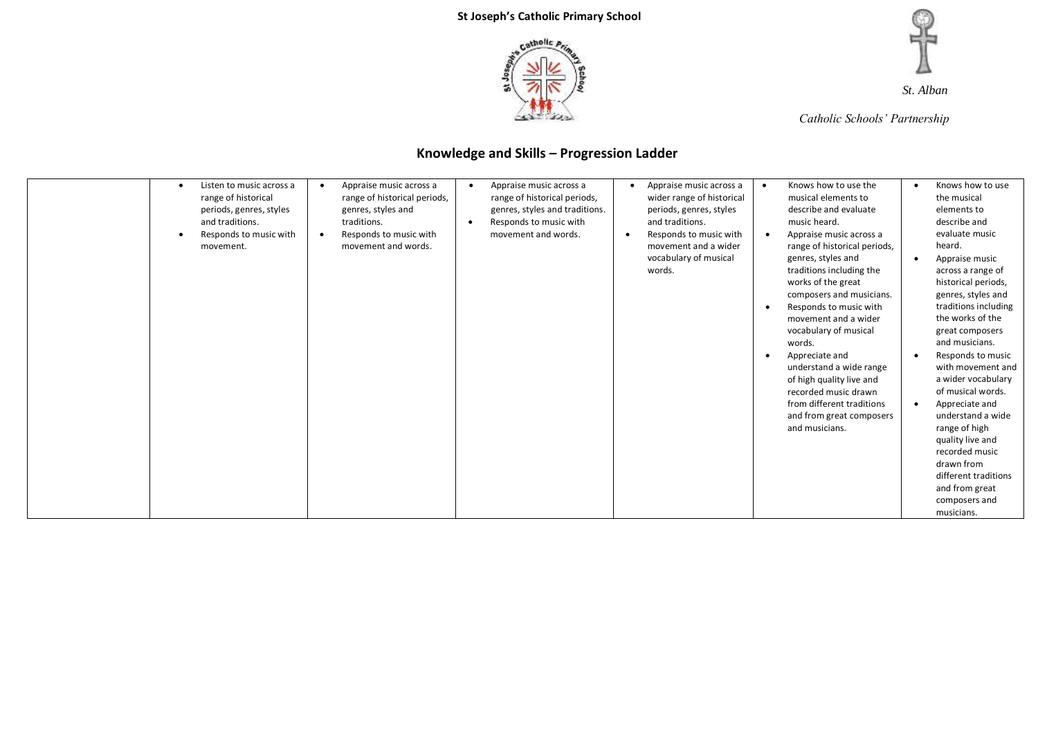



*Catholic Schools' Partnership*

| Appraise music across a<br>Appraise music across a<br>Knows how to use the<br>Knows how to use<br>Listen to music across a<br>Appraise music across a<br>$\bullet$<br>$\bullet$<br>$\bullet$<br>٠<br>wider range of historical<br>range of historical<br>range of historical periods,<br>range of historical periods,<br>musical elements to<br>the musical |
|-------------------------------------------------------------------------------------------------------------------------------------------------------------------------------------------------------------------------------------------------------------------------------------------------------------------------------------------------------------|
|-------------------------------------------------------------------------------------------------------------------------------------------------------------------------------------------------------------------------------------------------------------------------------------------------------------------------------------------------------------|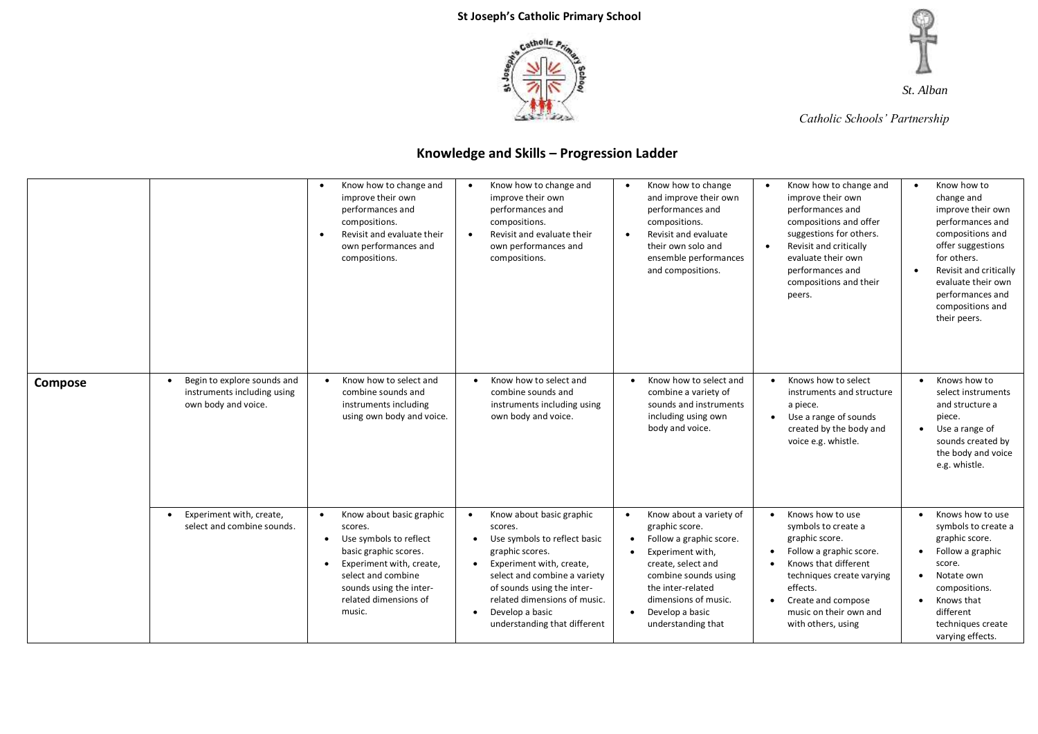



*Catholic Schools' Partnership*

|         |                                                                                                | Know how to change and<br>$\bullet$<br>improve their own<br>performances and<br>compositions.<br>Revisit and evaluate their<br>$\bullet$<br>own performances and<br>compositions.                                                | Know how to change and<br>improve their own<br>performances and<br>compositions.<br>Revisit and evaluate their<br>$\bullet$<br>own performances and<br>compositions.                                                                                                             | Know how to change<br>$\bullet$<br>and improve their own<br>performances and<br>compositions.<br>Revisit and evaluate<br>$\bullet$<br>their own solo and<br>ensemble performances<br>and compositions.                                                              | Know how to change and<br>$\bullet$<br>improve their own<br>performances and<br>compositions and offer<br>suggestions for others.<br>Revisit and critically<br>evaluate their own<br>performances and<br>compositions and their<br>peers. | Know how to<br>$\bullet$<br>change and<br>improve their own<br>performances and<br>compositions and<br>offer suggestions<br>for others.<br>Revisit and critically<br>$\bullet$<br>evaluate their own<br>performances and<br>compositions and<br>their peers. |
|---------|------------------------------------------------------------------------------------------------|----------------------------------------------------------------------------------------------------------------------------------------------------------------------------------------------------------------------------------|----------------------------------------------------------------------------------------------------------------------------------------------------------------------------------------------------------------------------------------------------------------------------------|---------------------------------------------------------------------------------------------------------------------------------------------------------------------------------------------------------------------------------------------------------------------|-------------------------------------------------------------------------------------------------------------------------------------------------------------------------------------------------------------------------------------------|--------------------------------------------------------------------------------------------------------------------------------------------------------------------------------------------------------------------------------------------------------------|
| Compose | Begin to explore sounds and<br>$\bullet$<br>instruments including using<br>own body and voice. | Know how to select and<br>combine sounds and<br>instruments including<br>using own body and voice.                                                                                                                               | Know how to select and<br>combine sounds and<br>instruments including using<br>own body and voice.                                                                                                                                                                               | Know how to select and<br>$\bullet$<br>combine a variety of<br>sounds and instruments<br>including using own<br>body and voice.                                                                                                                                     | Knows how to select<br>instruments and structure<br>a piece.<br>Use a range of sounds<br>created by the body and<br>voice e.g. whistle.                                                                                                   | Knows how to<br>$\bullet$<br>select instruments<br>and structure a<br>piece.<br>Use a range of<br>sounds created by<br>the body and voice<br>e.g. whistle.                                                                                                   |
|         | Experiment with, create,<br>$\bullet$<br>select and combine sounds.                            | Know about basic graphic<br>$\bullet$<br>scores.<br>Use symbols to reflect<br>basic graphic scores.<br>Experiment with, create,<br>$\bullet$<br>select and combine<br>sounds using the inter-<br>related dimensions of<br>music. | Know about basic graphic<br>$\bullet$<br>scores.<br>Use symbols to reflect basic<br>graphic scores.<br>Experiment with, create,<br>select and combine a variety<br>of sounds using the inter-<br>related dimensions of music.<br>Develop a basic<br>understanding that different | Know about a variety of<br>$\bullet$<br>graphic score.<br>Follow a graphic score.<br>$\bullet$<br>Experiment with,<br>create, select and<br>combine sounds using<br>the inter-related<br>dimensions of music.<br>Develop a basic<br>$\bullet$<br>understanding that | Knows how to use<br>symbols to create a<br>graphic score.<br>Follow a graphic score.<br>Knows that different<br>techniques create varying<br>effects.<br>Create and compose<br>music on their own and<br>with others, using               | Knows how to use<br>symbols to create a<br>graphic score.<br>Follow a graphic<br>score.<br>Notate own<br>compositions.<br>Knows that<br>different<br>techniques create<br>varying effects.                                                                   |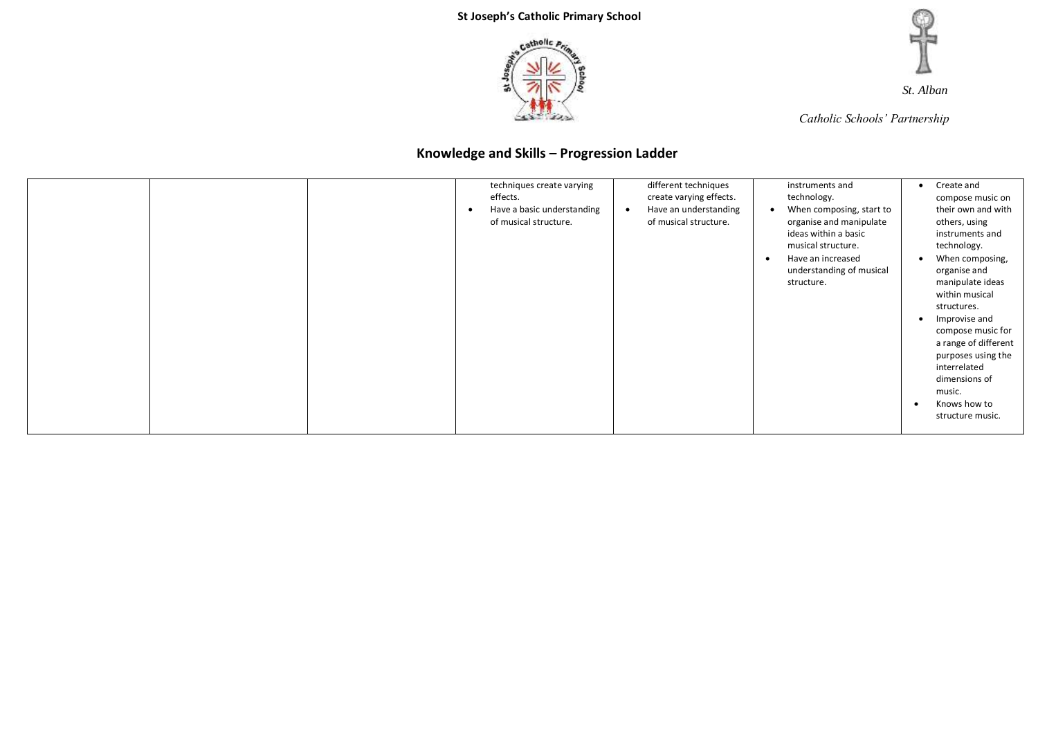



*Catholic Schools' Partnership*

|  | techniques create varying<br>effects.<br>Have a basic understanding<br>of musical structure. | different techniques<br>create varying effects.<br>Have an understanding<br>of musical structure. | instruments and<br>technology.<br>When composing, start to<br>organise and manipulate<br>ideas within a basic<br>musical structure.<br>Have an increased<br>$\bullet$<br>understanding of musical<br>structure. | Create and<br>$\bullet$<br>compose music on<br>their own and with<br>others, using<br>instruments and<br>technology.<br>When composing,<br>organise and<br>manipulate ideas<br>within musical<br>structures.<br>Improvise and<br>compose music for<br>a range of different<br>purposes using the<br>interrelated<br>dimensions of<br>music.<br>Knows how to<br>structure music. |
|--|----------------------------------------------------------------------------------------------|---------------------------------------------------------------------------------------------------|-----------------------------------------------------------------------------------------------------------------------------------------------------------------------------------------------------------------|---------------------------------------------------------------------------------------------------------------------------------------------------------------------------------------------------------------------------------------------------------------------------------------------------------------------------------------------------------------------------------|
|--|----------------------------------------------------------------------------------------------|---------------------------------------------------------------------------------------------------|-----------------------------------------------------------------------------------------------------------------------------------------------------------------------------------------------------------------|---------------------------------------------------------------------------------------------------------------------------------------------------------------------------------------------------------------------------------------------------------------------------------------------------------------------------------------------------------------------------------|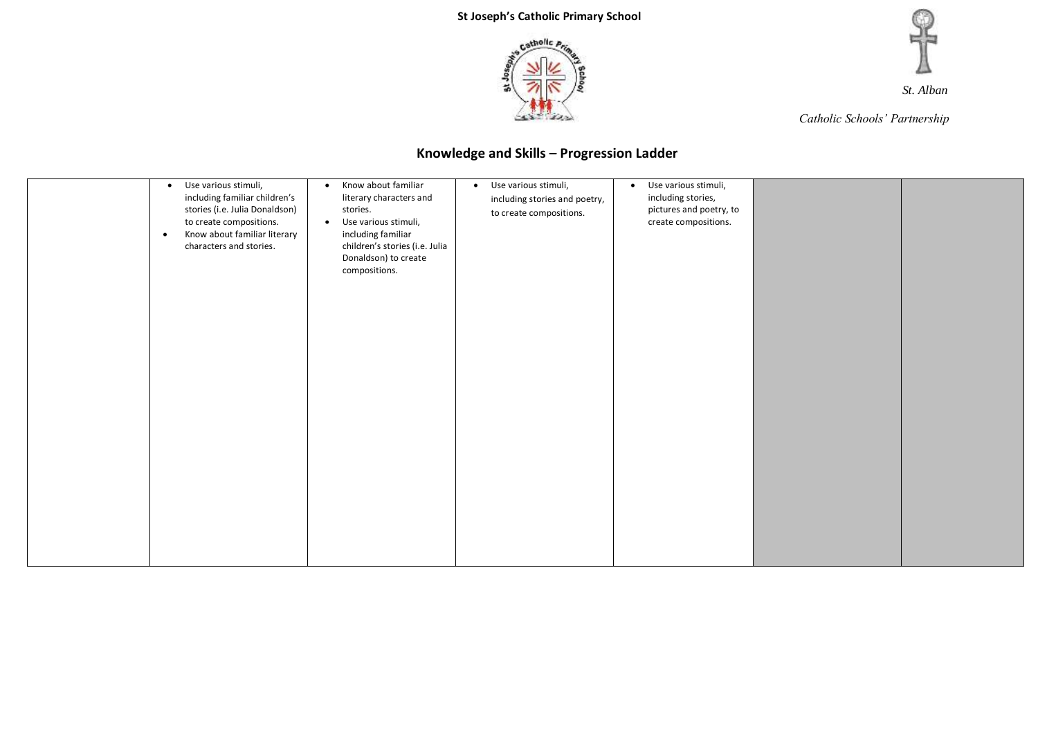

*Catholic Schools' Partnership*

| Use various stimuli,<br>$\bullet$<br>including familiar children's<br>stories (i.e. Julia Donaldson)<br>to create compositions.<br>Know about familiar literary<br>$\bullet$<br>characters and stories. | Know about familiar<br>$\bullet$<br>literary characters and<br>stories.<br>Use various stimuli,<br>$\bullet$<br>including familiar<br>children's stories (i.e. Julia<br>Donaldson) to create<br>compositions. | Use various stimuli,<br>$\bullet$<br>including stories and poetry,<br>to create compositions. | Use various stimuli,<br>$\bullet$<br>including stories,<br>pictures and poetry, to<br>create compositions. |  |
|---------------------------------------------------------------------------------------------------------------------------------------------------------------------------------------------------------|---------------------------------------------------------------------------------------------------------------------------------------------------------------------------------------------------------------|-----------------------------------------------------------------------------------------------|------------------------------------------------------------------------------------------------------------|--|
|                                                                                                                                                                                                         |                                                                                                                                                                                                               |                                                                                               |                                                                                                            |  |